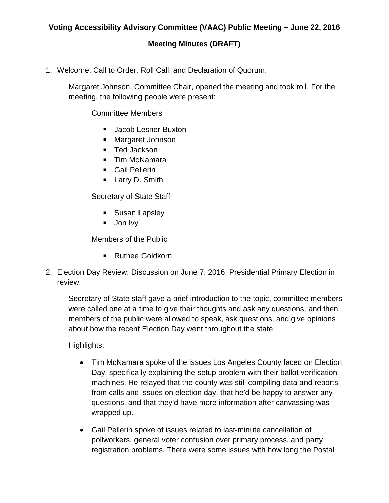## **Meeting Minutes (DRAFT)**

1. Welcome, Call to Order, Roll Call, and Declaration of Quorum.

Margaret Johnson, Committee Chair, opened the meeting and took roll. For the meeting, the following people were present:

Committee Members

- **Jacob Lesner-Buxton**
- **Margaret Johnson**
- Ted Jackson
- Tim McNamara
- Gail Pellerin
- **Larry D. Smith**

Secretary of State Staff

- **Susan Lapsley**
- **Jon Ivy**

Members of the Public

- Ruthee Goldkorn
- 2. Election Day Review: Discussion on June 7, 2016, Presidential Primary Election in review.

Secretary of State staff gave a brief introduction to the topic, committee members were called one at a time to give their thoughts and ask any questions, and then members of the public were allowed to speak, ask questions, and give opinions about how the recent Election Day went throughout the state.

Highlights:

- Tim McNamara spoke of the issues Los Angeles County faced on Election Day, specifically explaining the setup problem with their ballot verification machines. He relayed that the county was still compiling data and reports from calls and issues on election day, that he'd be happy to answer any questions, and that they'd have more information after canvassing was wrapped up.
- Gail Pellerin spoke of issues related to last-minute cancellation of pollworkers, general voter confusion over primary process, and party registration problems. There were some issues with how long the Postal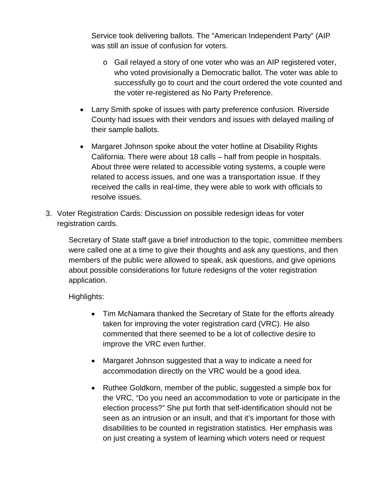Service took delivering ballots. The "American Independent Party" (AIP was still an issue of confusion for voters.

- o Gail relayed a story of one voter who was an AIP registered voter, who voted provisionally a Democratic ballot. The voter was able to successfully go to court and the court ordered the vote counted and the voter re-registered as No Party Preference.
- Larry Smith spoke of issues with party preference confusion. Riverside County had issues with their vendors and issues with delayed mailing of their sample ballots.
- Margaret Johnson spoke about the voter hotline at Disability Rights California. There were about 18 calls – half from people in hospitals. About three were related to accessible voting systems, a couple were related to access issues, and one was a transportation issue. If they received the calls in real-time, they were able to work with officials to resolve issues.
- 3. Voter Registration Cards: Discussion on possible redesign ideas for voter registration cards.

Secretary of State staff gave a brief introduction to the topic, committee members were called one at a time to give their thoughts and ask any questions, and then members of the public were allowed to speak, ask questions, and give opinions about possible considerations for future redesigns of the voter registration application.

Highlights:

- Tim McNamara thanked the Secretary of State for the efforts already taken for improving the voter registration card (VRC). He also commented that there seemed to be a lot of collective desire to improve the VRC even further.
- Margaret Johnson suggested that a way to indicate a need for accommodation directly on the VRC would be a good idea.
- Ruthee Goldkorn, member of the public, suggested a simple box for the VRC, "Do you need an accommodation to vote or participate in the election process?" She put forth that self-identification should not be seen as an intrusion or an insult, and that it's important for those with disabilities to be counted in registration statistics. Her emphasis was on just creating a system of learning which voters need or request